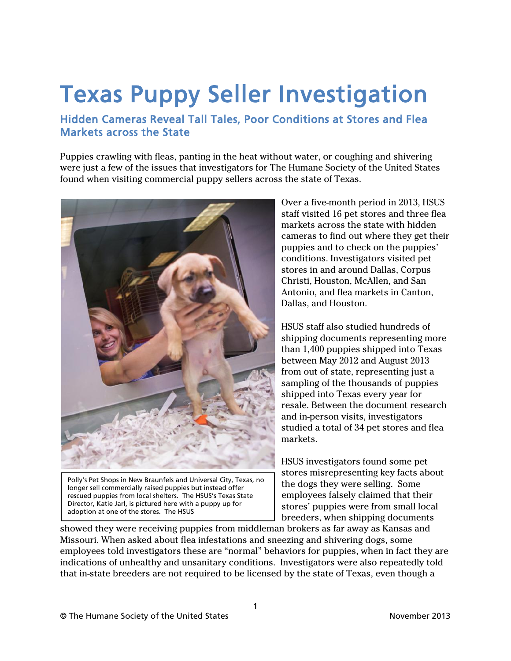# **Texas Puppy Seller Investigation**<br>Hidden Cameras Reveal Tall Tales, Poor Conditions at Stores and Flea

# Markets across the State

Puppies crawling with fleas, panting in the heat without water, or coughing and shivering were just a few of the issues that investigators for The Humane Society of the United States found when visiting commercial puppy sellers across the state of Texas.



Polly's Pet Shops in New Braunfels and Universal City, Texas, no longer sell commercially raised puppies but instead offer rescued puppies from local shelters. The HSUS's Texas State Director, Katie Jarl, is pictured here with a puppy up for adoption at one of the stores. The HSUS

Over a five-month period in 2013, HSUS staff visited 16 pet stores and three flea markets across the state with hidden cameras to find out where they get their puppies and to check on the puppies' conditions. Investigators visited pet stores in and around Dallas, Corpus Christi, Houston, McAllen, and San Antonio, and flea markets in Canton, Dallas, and Houston.

HSUS staff also studied hundreds of shipping documents representing more than 1,400 puppies shipped into Texas between May 2012 and August 2013 from out of state, representing just a sampling of the thousands of puppies shipped into Texas every year for resale. Between the document research and in-person visits, investigators studied a total of 34 pet stores and flea markets.

HSUS investigators found some pet stores misrepresenting key facts about the dogs they were selling. Some employees falsely claimed that their stores' puppies were from small local breeders, when shipping documents

showed they were receiving puppies from middleman brokers as far away as Kansas and Missouri. When asked about flea infestations and sneezing and shivering dogs, some employees told investigators these are "normal" behaviors for puppies, when in fact they are indications of unhealthy and unsanitary conditions. Investigators were also repeatedly told that in-state breeders are not required to be licensed by the state of Texas, even though a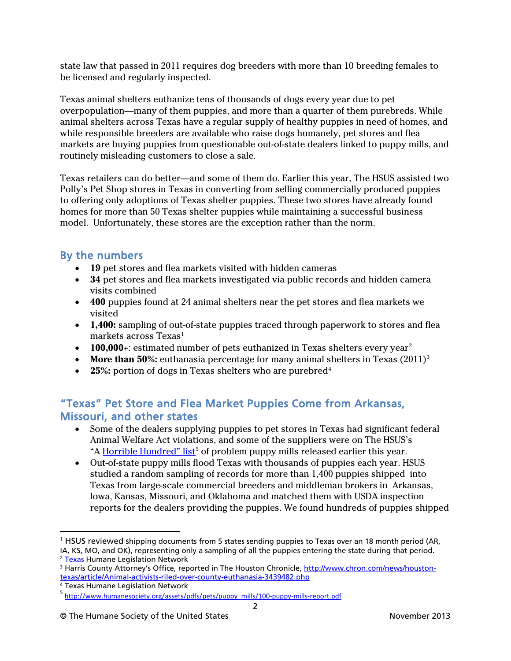state law that passed in 2011 requires dog breeders with more than 10 breeding females to be licensed and regularly inspected.

Texas animal shelters euthanize tens of thousands of dogs every year due to pet overpopulation—many of them puppies, and more than a quarter of them purebreds. While animal shelters across Texas have a regular supply of healthy puppies in need of homes, and while responsible breeders are available who raise dogs humanely, pet stores and flea markets are buying puppies from questionable out-of-state dealers linked to puppy mills, and routinely misleading customers to close a sale.

Texas retailers can do better—and some of them do. Earlier this year, The HSUS assisted two Polly's Pet Shop stores in Texas in converting from selling commercially produced puppies to offering only adoptions of Texas shelter puppies. These two stores have already found homes for more than 50 Texas shelter puppies while maintaining a successful business model. Unfortunately, these stores are the exception rather than the norm.

# By the numbers

- **19** pet stores and flea markets visited with hidden cameras
- **34** pet stores and flea markets investigated via public records and hidden camera visits combined
- **400** puppies found at 24 animal shelters near the pet stores and flea markets we visited
- **1,400:** sampling of out-of-state puppies traced through paperwork to stores and flea markets across Texas<sup>[1](#page-1-0)</sup>
- **100,000**+: estimated number of pets euthanized in Texas shelters every year<sup>[2](#page-1-1)</sup>
- **More than 50%:** euthanasia percentage for many animal shelters in Texas (2011)<sup>3</sup>
- **25%:** portion of dogs in Texas shelters who are purebred<sup>[4](#page-1-3)</sup>

# "Texas" Pet Store and Flea Market Puppies Come from Arkansas, Missouri, and other states

- Some of the dealers supplying puppies to pet stores in Texas had significant federal Animal Welfare Act violations, and some of the suppliers were on The HSUS's "A [Horrible Hundred"](http://www.humanesociety.org/assets/pdfs/pets/puppy_mills/100-puppy-mills-report.pdf) list<sup>[5](#page-1-4)</sup> of problem puppy mills released earlier this year.
- Out-of-state puppy mills flood Texas with thousands of puppies each year. HSUS studied a random sampling of records for more than 1,400 puppies shipped into Texas from large-scale commercial breeders and middleman brokers in Arkansas, Iowa, Kansas, Missouri, and Oklahoma and matched them with USDA inspection reports for the dealers providing the puppies. We found hundreds of puppies shipped

 $\overline{a}$ 

<span id="page-1-0"></span><sup>1</sup> HSUS reviewed shipping documents from 5 states sending puppies to Texas over an 18 month period (AR, IA, KS, MO, and OK), representing only a sampling of all the puppies entering the state during that period.

<span id="page-1-1"></span><sup>&</sup>lt;sup>2</sup> [Texas](http://www.thln.org/) Humane Legislation Network

<span id="page-1-2"></span><sup>3</sup> Harris County Attorney's Office, reported in The Houston Chronicle, [http://www.chron.com/news/houston](http://www.chron.com/news/houston-texas/article/Animal-activists-riled-over-county-euthanasia-3439482.php)[texas/article/Animal-activists-riled-over-county-euthanasia-3439482.php](http://www.chron.com/news/houston-texas/article/Animal-activists-riled-over-county-euthanasia-3439482.php)

<span id="page-1-3"></span><sup>4</sup> Texas Humane Legislation Network

<span id="page-1-4"></span><sup>&</sup>lt;sup>5</sup> [http://www.humanesociety.org/assets/pdfs/pets/puppy\\_mills/100-puppy-mills-report.pdf](http://www.humanesociety.org/assets/pdfs/pets/puppy_mills/100-puppy-mills-report.pdf)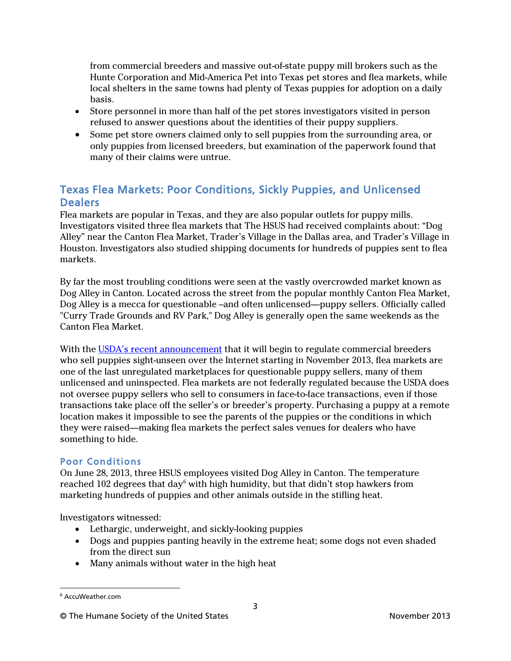from commercial breeders and massive out-of-state puppy mill brokers such as the Hunte Corporation and Mid-America Pet into Texas pet stores and flea markets, while local shelters in the same towns had plenty of Texas puppies for adoption on a daily basis.

- Store personnel in more than half of the pet stores investigators visited in person refused to answer questions about the identities of their puppy suppliers.
- Some pet store owners claimed only to sell puppies from the surrounding area, or only puppies from licensed breeders, but examination of the paperwork found that many of their claims were untrue.

# Texas Flea Markets: Poor Conditions, Sickly Puppies, and Unlicensed **Dealers**

Flea markets are popular in Texas, and they are also popular outlets for puppy mills. Investigators visited three flea markets that The HSUS had received complaints about: "Dog Alley" near the Canton Flea Market, Trader's Village in the Dallas area, and Trader's Village in Houston. Investigators also studied shipping documents for hundreds of puppies sent to flea markets.

By far the most troubling conditions were seen at the vastly overcrowded market known as Dog Alley in Canton. Located across the street from the popular monthly Canton Flea Market, Dog Alley is a mecca for questionable –and often unlicensed—puppy sellers. Officially called "Curry Trade Grounds and RV Park," Dog Alley is generally open the same weekends as the Canton Flea Market.

With the USDA's recent [announcement](http://www.humanesociety.org/news/blog/2013/usda-puppy-mill-victory091013.html) that it will begin to regulate commercial breeders who sell puppies sight-unseen over the Internet starting in November 2013, flea markets are one of the last unregulated marketplaces for questionable puppy sellers, many of them unlicensed and uninspected. Flea markets are not federally regulated because the USDA does not oversee puppy sellers who sell to consumers in face-to-face transactions, even if those transactions take place off the seller's or breeder's property. Purchasing a puppy at a remote location makes it impossible to see the parents of the puppies or the conditions in which they were raised—making flea markets the perfect sales venues for dealers who have something to hide.

#### Poor Conditions

On June 28, 2013, three HSUS employees visited Dog Alley in Canton. The temperature reached 102 degrees that day<sup>[6](#page-2-0)</sup> with high humidity, but that didn't stop hawkers from marketing hundreds of puppies and other animals outside in the stifling heat.

Investigators witnessed:

- Lethargic, underweight, and sickly-looking puppies
- Dogs and puppies panting heavily in the extreme heat; some dogs not even shaded from the direct sun
- Many animals without water in the high heat

<span id="page-2-0"></span> $\overline{a}$ <sup>6</sup> AccuWeather.com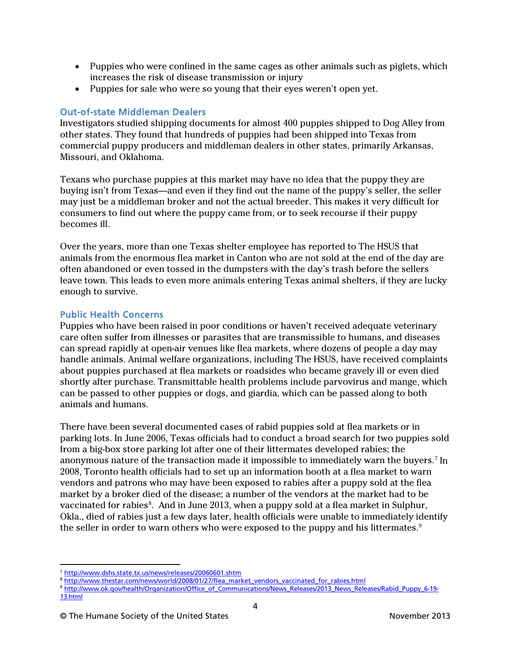- Puppies who were confined in the same cages as other animals such as piglets, which increases the risk of disease transmission or injury
- Puppies for sale who were so young that their eyes weren't open yet.

#### Out-of-state Middleman Dealers

Investigators studied shipping documents for almost 400 puppies shipped to Dog Alley from other states. They found that hundreds of puppies had been shipped into Texas from commercial puppy producers and middleman dealers in other states, primarily Arkansas, Missouri, and Oklahoma.

Texans who purchase puppies at this market may have no idea that the puppy they are buying isn't from Texas—and even if they find out the name of the puppy's seller, the seller may just be a middleman broker and not the actual breeder. This makes it very difficult for consumers to find out where the puppy came from, or to seek recourse if their puppy becomes ill.

Over the years, more than one Texas shelter employee has reported to The HSUS that animals from the enormous flea market in Canton who are not sold at the end of the day are often abandoned or even tossed in the dumpsters with the day's trash before the sellers leave town. This leads to even more animals entering Texas animal shelters, if they are lucky enough to survive.

#### Public Health Concerns

Puppies who have been raised in poor conditions or haven't received adequate veterinary care often suffer from illnesses or parasites that are transmissible to humans, and diseases can spread rapidly at open-air venues like flea markets, where dozens of people a day may handle animals. Animal welfare organizations, including The HSUS, have received complaints about puppies purchased at flea markets or roadsides who became gravely ill or even died shortly after purchase. Transmittable health problems include parvovirus and mange, which can be passed to other puppies or dogs, and giardia, which can be passed along to both animals and humans.

There have been several documented cases of rabid puppies sold at flea markets or in parking lots. In June 2006, Texas officials had to conduct a broad search for two puppies sold from a big-box store parking lot after one of their littermates developed rabies; the anonymous nature of the transaction made it impossible to immediately warn the buyers. [7](#page-3-0) In 2008, Toronto health officials had to set up an information booth at a flea market to warn vendors and patrons who may have been exposed to rabies after a puppy sold at the flea market by a broker died of the disease; a number of the vendors at the market had to be vaccinated for rabies<sup>[8](#page-3-1)</sup>. And in June 2013, when a puppy sold at a flea market in Sulphur, Okla., died of rabies just a few days later, health officials were unable to immediately identify the seller in order to warn others who were exposed to the puppy and his littermates. $^9$  $^9$ 

 $\overline{a}$ <sup>7</sup> <http://www.dshs.state.tx.us/news/releases/20060601.shtm>

<span id="page-3-1"></span><span id="page-3-0"></span><sup>&</sup>lt;sup>8</sup> [http://www.thestar.com/news/world/2008/01/27/flea\\_market\\_vendors\\_vaccinated\\_for\\_rabies.html](http://www.thestar.com/news/world/2008/01/27/flea_market_vendors_vaccinated_for_rabies.html)

<span id="page-3-2"></span><sup>9</sup> [http://www.ok.gov/health/Organization/Office\\_of\\_Communications/News\\_Releases/2013\\_News\\_Releases/Rabid\\_Puppy\\_6-19-](http://www.ok.gov/health/Organization/Office_of_Communications/News_Releases/2013_News_Releases/Rabid_Puppy_6-19-13.html) [13.html](http://www.ok.gov/health/Organization/Office_of_Communications/News_Releases/2013_News_Releases/Rabid_Puppy_6-19-13.html)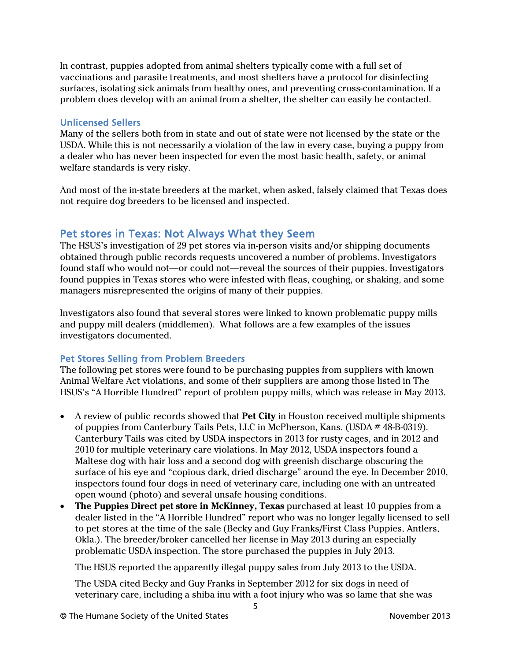In contrast, puppies adopted from animal shelters typically come with a full set of vaccinations and parasite treatments, and most shelters have a protocol for disinfecting surfaces, isolating sick animals from healthy ones, and preventing cross-contamination. If a problem does develop with an animal from a shelter, the shelter can easily be contacted.

#### Unlicensed Sellers

Many of the sellers both from in state and out of state were not licensed by the state or the USDA. While this is not necessarily a violation of the law in every case, buying a puppy from a dealer who has never been inspected for even the most basic health, safety, or animal welfare standards is very risky.

And most of the in-state breeders at the market, when asked, falsely claimed that Texas does not require dog breeders to be licensed and inspected.

### Pet stores in Texas: Not Always What they Seem

The HSUS's investigation of 29 pet stores via in-person visits and/or shipping documents obtained through public records requests uncovered a number of problems. Investigators found staff who would not—or could not—reveal the sources of their puppies. Investigators found puppies in Texas stores who were infested with fleas, coughing, or shaking, and some managers misrepresented the origins of many of their puppies.

Investigators also found that several stores were linked to known problematic puppy mills and puppy mill dealers (middlemen). What follows are a few examples of the issues investigators documented.

#### Pet Stores Selling from Problem Breeders

The following pet stores were found to be purchasing puppies from suppliers with known Animal Welfare Act violations, and some of their suppliers are among those listed in The HSUS's "A Horrible Hundred" report of problem puppy mills, which was release in May 2013.

- A review of public records showed that **Pet City** in Houston received multiple shipments of puppies from Canterbury Tails Pets, LLC in McPherson, Kans. (USDA # 48-B-0319). Canterbury Tails was cited by USDA inspectors in 2013 for rusty cages, and in 2012 and 2010 for multiple veterinary care violations. In May 2012, USDA inspectors found a Maltese dog with hair loss and a second dog with greenish discharge obscuring the surface of his eye and "copious dark, dried discharge" around the eye. In December 2010, inspectors found four dogs in need of veterinary care, including one with an untreated open wound (photo) and several unsafe housing conditions.
- **The Puppies Direct pet store in McKinney, Texas** purchased at least 10 puppies from a dealer listed in the "A Horrible Hundred" report who was no longer legally licensed to sell to pet stores at the time of the sale (Becky and Guy Franks/First Class Puppies, Antlers, Okla.). The breeder/broker cancelled her license in May 2013 during an especially problematic USDA inspection. The store purchased the puppies in July 2013.

The HSUS reported the apparently illegal puppy sales from July 2013 to the USDA.

The USDA cited Becky and Guy Franks in September 2012 for six dogs in need of veterinary care, including a shiba inu with a foot injury who was so lame that she was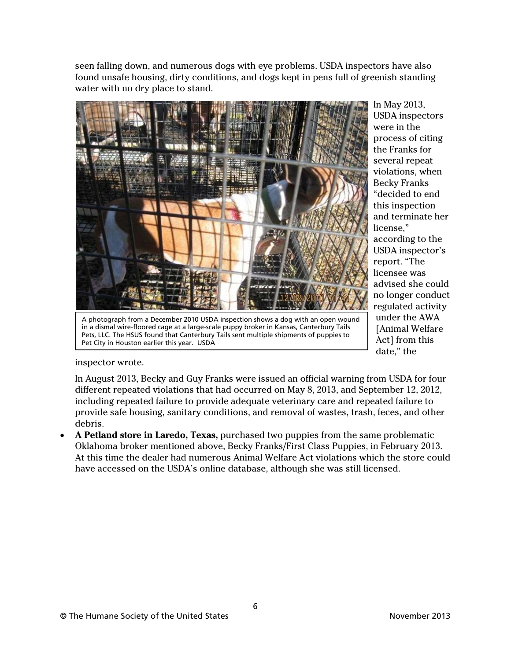seen falling down, and numerous dogs with eye problems. USDA inspectors have also found unsafe housing, dirty conditions, and dogs kept in pens full of greenish standing water with no dry place to stand.



A photograph from a December 2010 USDA inspection shows a dog with an open wound in a dismal wire-floored cage at a large-scale puppy broker in Kansas, Canterbury Tails Pets, LLC. The HSUS found that Canterbury Tails sent multiple shipments of puppies to Pet City in Houston earlier this year. USDA

In May 2013, USDA inspectors were in the process of citing the Franks for several repeat violations, when Becky Franks "decided to end this inspection and terminate her license," according to the USDA inspector's report. "The licensee was advised she could no longer conduct regulated activity under the AWA [Animal Welfare Act] from this date," the

inspector wrote.

In August 2013, Becky and Guy Franks were issued an official warning from USDA for four different repeated violations that had occurred on May 8, 2013, and September 12, 2012, including repeated failure to provide adequate veterinary care and repeated failure to provide safe housing, sanitary conditions, and removal of wastes, trash, feces, and other debris.

• **A Petland store in Laredo, Texas,** purchased two puppies from the same problematic Oklahoma broker mentioned above, Becky Franks/First Class Puppies, in February 2013. At this time the dealer had numerous Animal Welfare Act violations which the store could have accessed on the USDA's online database, although she was still licensed.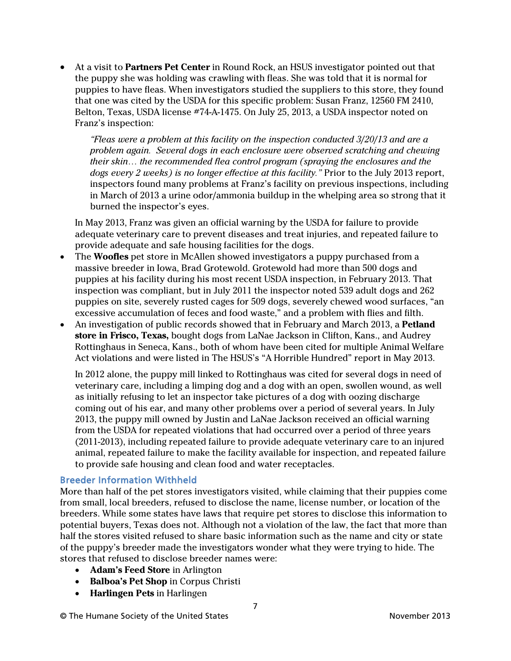• At a visit to **Partners Pet Center** in Round Rock, an HSUS investigator pointed out that the puppy she was holding was crawling with fleas. She was told that it is normal for puppies to have fleas. When investigators studied the suppliers to this store, they found that one was cited by the USDA for this specific problem: Susan Franz, 12560 FM 2410, Belton, Texas, USDA license #74-A-1475. On July 25, 2013, a USDA inspector noted on Franz's inspection:

*"Fleas were a problem at this facility on the inspection conducted 3/20/13 and are a problem again. Several dogs in each enclosure were observed scratching and chewing their skin… the recommended flea control program (spraying the enclosures and the dogs every 2 weeks) is no longer effective at this facility."* Prior to the July 2013 report, inspectors found many problems at Franz's facility on previous inspections, including in March of 2013 a urine odor/ammonia buildup in the whelping area so strong that it burned the inspector's eyes.

In May 2013, Franz was given an official warning by the USDA for failure to provide adequate veterinary care to prevent diseases and treat injuries, and repeated failure to provide adequate and safe housing facilities for the dogs.

- The **Woofles** pet store in McAllen showed investigators a puppy purchased from a massive breeder in Iowa, Brad Grotewold. Grotewold had more than 500 dogs and puppies at his facility during his most recent USDA inspection, in February 2013. That inspection was compliant, but in July 2011 the inspector noted 539 adult dogs and 262 puppies on site, severely rusted cages for 509 dogs, severely chewed wood surfaces, "an excessive accumulation of feces and food waste," and a problem with flies and filth.
- An investigation of public records showed that in February and March 2013, a **Petland store in Frisco, Texas,** bought dogs from LaNae Jackson in Clifton, Kans., and Audrey Rottinghaus in Seneca, Kans., both of whom have been cited for multiple Animal Welfare Act violations and were listed in The HSUS's "A Horrible Hundred" report in May 2013.

In 2012 alone, the puppy mill linked to Rottinghaus was cited for several dogs in need of veterinary care, including a limping dog and a dog with an open, swollen wound, as well as initially refusing to let an inspector take pictures of a dog with oozing discharge coming out of his ear, and many other problems over a period of several years. In July 2013, the puppy mill owned by Justin and LaNae Jackson received an official warning from the USDA for repeated violations that had occurred over a period of three years (2011-2013), including repeated failure to provide adequate veterinary care to an injured animal, repeated failure to make the facility available for inspection, and repeated failure to provide safe housing and clean food and water receptacles.

#### Breeder Information Withheld

More than half of the pet stores investigators visited, while claiming that their puppies come from small, local breeders, refused to disclose the name, license number, or location of the breeders. While some states have laws that require pet stores to disclose this information to potential buyers, Texas does not. Although not a violation of the law, the fact that more than half the stores visited refused to share basic information such as the name and city or state of the puppy's breeder made the investigators wonder what they were trying to hide. The stores that refused to disclose breeder names were:

- **Adam's Feed Store** in Arlington
- **Balboa's Pet Shop** in Corpus Christi
- **Harlingen Pets** in Harlingen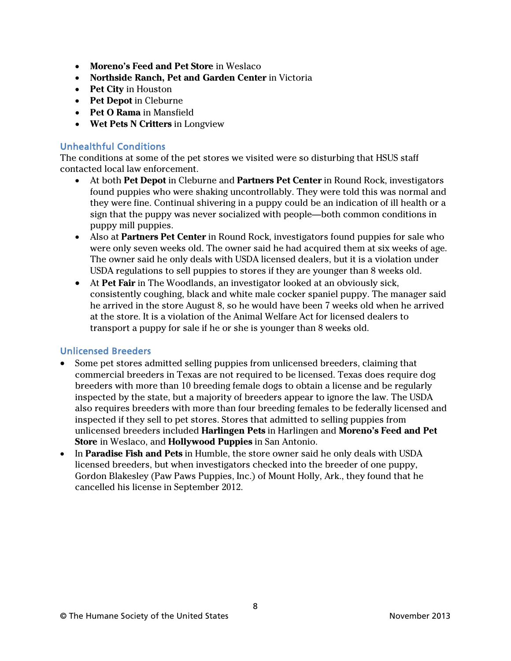- **Moreno's Feed and Pet Store** in Weslaco
- **Northside Ranch, Pet and Garden Center** in Victoria
- **Pet City** in Houston
- **Pet Depot** in Cleburne
- **Pet O Rama** in Mansfield
- **Wet Pets N Critters** in Longview

#### Unhealthful Conditions

The conditions at some of the pet stores we visited were so disturbing that HSUS staff contacted local law enforcement.

- At both **Pet Depot** in Cleburne and **Partners Pet Center** in Round Rock, investigators found puppies who were shaking uncontrollably. They were told this was normal and they were fine. Continual shivering in a puppy could be an indication of ill health or a sign that the puppy was never socialized with people—both common conditions in puppy mill puppies.
- Also at **Partners Pet Center** in Round Rock, investigators found puppies for sale who were only seven weeks old. The owner said he had acquired them at six weeks of age. The owner said he only deals with USDA licensed dealers, but it is a violation under USDA regulations to sell puppies to stores if they are younger than 8 weeks old.
- At **Pet Fair** in The Woodlands, an investigator looked at an obviously sick, consistently coughing, black and white male cocker spaniel puppy. The manager said he arrived in the store August 8, so he would have been 7 weeks old when he arrived at the store. It is a violation of the Animal Welfare Act for licensed dealers to transport a puppy for sale if he or she is younger than 8 weeks old.

#### Unlicensed Breeders

- Some pet stores admitted selling puppies from unlicensed breeders, claiming that commercial breeders in Texas are not required to be licensed. Texas does require dog breeders with more than 10 breeding female dogs to obtain a license and be regularly inspected by the state, but a majority of breeders appear to ignore the law. The USDA also requires breeders with more than four breeding females to be federally licensed and inspected if they sell to pet stores. Stores that admitted to selling puppies from unlicensed breeders included **Harlingen Pets** in Harlingen and **Moreno's Feed and Pet Store** in Weslaco, and **Hollywood Puppies** in San Antonio.
- In **Paradise Fish and Pets** in Humble, the store owner said he only deals with USDA licensed breeders, but when investigators checked into the breeder of one puppy, Gordon Blakesley (Paw Paws Puppies, Inc.) of Mount Holly, Ark., they found that he cancelled his license in September 2012.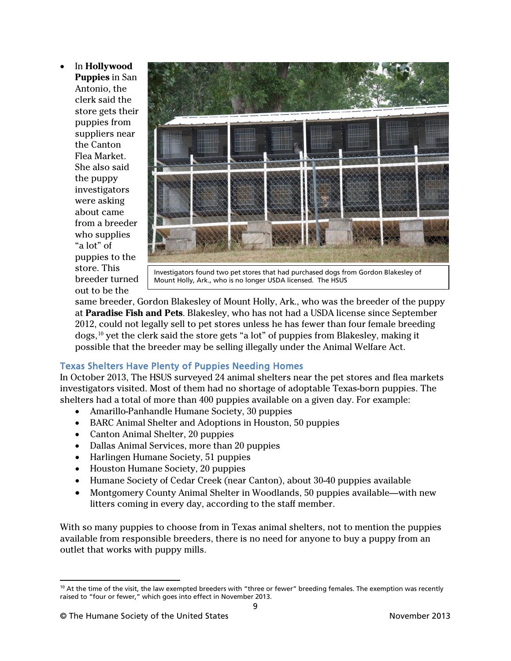• In **Hollywood Puppies** in San Antonio, the clerk said the store gets their puppies from suppliers near the Canton Flea Market. She also said the puppy investigators were asking about came from a breeder who supplies "a lot" of puppies to the store. This breeder turned out to be the



Investigators found two pet stores that had purchased dogs from Gordon Blakesley of Mount Holly, Ark., who is no longer USDA licensed. The HSUS

same breeder, Gordon Blakesley of Mount Holly, Ark., who was the breeder of the puppy at **Paradise Fish and Pets**. Blakesley, who has not had a USDA license since September 2012, could not legally sell to pet stores unless he has fewer than four female breeding dogs, [10](#page-8-0) yet the clerk said the store gets "a lot" of puppies from Blakesley, making it possible that the breeder may be selling illegally under the Animal Welfare Act.

#### Texas Shelters Have Plenty of Puppies Needing Homes

In October 2013, The HSUS surveyed 24 animal shelters near the pet stores and flea markets investigators visited. Most of them had no shortage of adoptable Texas-born puppies. The shelters had a total of more than 400 puppies available on a given day. For example:

- Amarillo-Panhandle Humane Society, 30 puppies
- BARC Animal Shelter and Adoptions in Houston, 50 puppies
- Canton Animal Shelter, 20 puppies
- Dallas Animal Services, more than 20 puppies
- Harlingen Humane Society, 51 puppies
- Houston Humane Society, 20 puppies
- Humane Society of Cedar Creek (near Canton), about 30-40 puppies available
- Montgomery County Animal Shelter in Woodlands, 50 puppies available—with new litters coming in every day, according to the staff member.

With so many puppies to choose from in Texas animal shelters, not to mention the puppies available from responsible breeders, there is no need for anyone to buy a puppy from an outlet that works with puppy mills.

<span id="page-8-0"></span> $\overline{a}$  $10$  At the time of the visit, the law exempted breeders with "three or fewer" breeding females. The exemption was recently raised to "four or fewer," which goes into effect in November 2013.